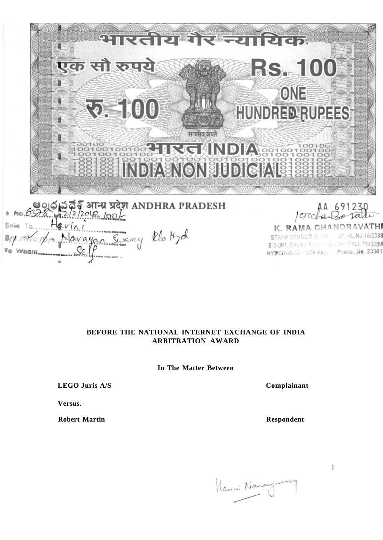ारतीयर्थं **TETHRIGA** 灛 एक सौ रुपये **RS. 100** ONE **ROF (6)** HUNDRED RUPEES सत्यमेव जयते GHNDIA INDIA ENONUDICIAL e 0 న ప్రదేశ్ आन्ध्र प्रदेश ANDHRA PRADESH<br>১৯৯. <sub>भ</sub>2/2/2016, 100/- $691230$ K. RAMA CHANDRAVATHI Works Navayan Swamy Rlottyd STAMP VENDOR (L. 116:7, 39, RL.No.16/2008

# **BEFORE THE NATIONAL INTERNET EXCHANGE OF INDIA**

**In The Matter Between** 

**ARBITRATION AWARD** 

**LEGO Juris A/S Complainant** 

**Versus.** 

Vo

**Robert Martin Respondent** 

 $\mathbb{I}$ 

6-3-387, Besido Bactione Dacher Hotel, Panjagu HYBERABAD - 509 892. Phene, No. 23351

Hausi Naray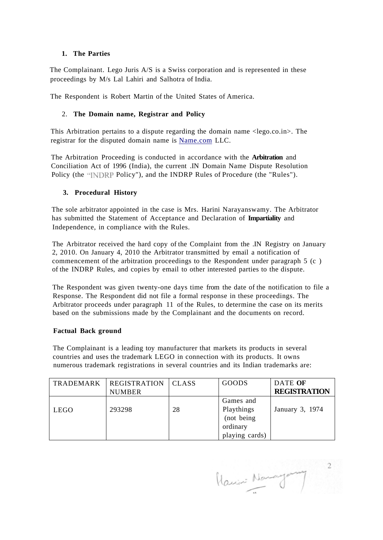## **1. The Parties**

The Complainant. Lego Juris A/S is a Swiss corporation and is represented in these proceedings by M/s Lal Lahiri and Salhotra of India.

The Respondent is Robert Martin of the United States of America.

## 2. **The Domain name, Registrar and Policy**

This Arbitration pertains to a dispute regarding the domain name <lego.co.in>. The registrar for the disputed domain name is [Name.com L](http://Name.com)LC.

The Arbitration Proceeding is conducted in accordance with the **Arbitration** and Conciliation Act of 1996 (India), the current .IN Domain Name Dispute Resolution Policy (the **"INDRP** Policy"), and the INDRP Rules of Procedure (the "Rules").

## **3. Procedural History**

The sole arbitrator appointed in the case is Mrs. Harini Narayanswamy. The Arbitrator has submitted the Statement of Acceptance and Declaration of **Impartiality** and Independence, in compliance with the Rules.

The Arbitrator received the hard copy of the Complaint from the .IN Registry on January 2, 2010. On January 4, 2010 the Arbitrator transmitted by email a notification of commencement of the arbitration proceedings to the Respondent under paragraph 5 (c ) of the INDRP Rules, and copies by email to other interested parties to the dispute.

The Respondent was given twenty-one days time from the date of the notification to file a Response. The Respondent did not file a formal response in these proceedings. The Arbitrator proceeds under paragraph 11 of the Rules, to determine the case on its merits based on the submissions made by the Complainant and the documents on record.

### **Factual Back ground**

The Complainant is a leading toy manufacturer that markets its products in several countries and uses the trademark LEGO in connection with its products. It owns numerous trademark registrations in several countries and its Indian trademarks are:

| <b>TRADEMARK</b> | <b>REGISTRATION</b><br><b>NUMBER</b> | <b>CLASS</b> | GOODS                                                               | DATE OF<br><b>REGISTRATION</b> |
|------------------|--------------------------------------|--------------|---------------------------------------------------------------------|--------------------------------|
| <b>LEGO</b>      | 293298                               | 28           | Games and<br>Playthings<br>(not being<br>ordinary<br>playing cards) | January 3, 1974                |

Harris Normagement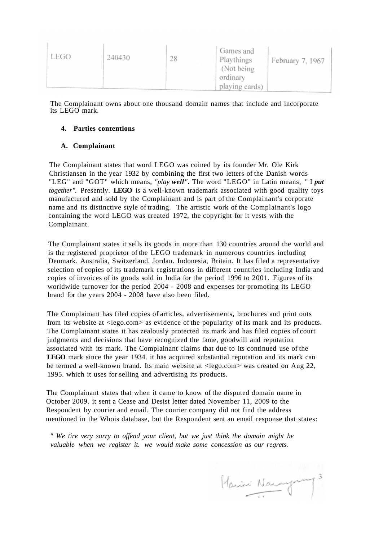| LEGO<br>240430 | 28<br><b>CALCULAR</b> | Games and<br>Playthings<br>(Not being)<br>ordinary<br>playing cards) | February 7, 1967 |
|----------------|-----------------------|----------------------------------------------------------------------|------------------|
|----------------|-----------------------|----------------------------------------------------------------------|------------------|

The Complainant owns about one thousand domain names that include and incorporate its LEGO mark.

## **4. Parties contentions**

#### **A. Complainant**

The Complainant states that word LEGO was coined by its founder Mr. Ole Kirk Christiansen in the year 1932 by combining the first two letters of the Danish words "LEG" and "GOT" which means, *"play well".* The word "LEGO" in Latin means, " I *put together".* Presently. **LEGO** is a well-known trademark associated with good quality toys manufactured and sold by the Complainant and is part of the Complainant's corporate name and its distinctive style of trading. The artistic work of the Complainant's logo containing the word LEGO was created 1972, the copyright for it vests with the Complainant.

The Complainant states it sells its goods in more than 130 countries around the world and is the registered proprietor of the LEGO trademark in numerous countries including Denmark. Australia, Switzerland. Jordan. Indonesia, Britain. It has filed a representative selection of copies of its trademark registrations in different countries including India and copies of invoices of its goods sold in India for the period 1996 to 2001. Figures of its worldwide turnover for the period 2004 - 2008 and expenses for promoting its LEGO brand for the years 2004 - 2008 have also been filed.

The Complainant has filed copies of articles, advertisements, brochures and print outs from its website at <lego.com> as evidence of the popularity of its mark and its products. The Complainant states it has zealously protected its mark and has filed copies of court judgments and decisions that have recognized the fame, goodwill and reputation associated with its mark. The Complainant claims that due to its continued use of the **LEGO** mark since the year 1934. it has acquired substantial reputation and its mark can be termed a well-known brand. Its main website at <lego.com> was created on Aug 22, 1995. which it uses for selling and advertising its products.

The Complainant states that when it came to know of the disputed domain name in October 2009. it sent a Cease and Desist letter dated November 11, 2009 to the Respondent by courier and email. The courier company did not find the address mentioned in the Whois database, but the Respondent sent an email response that states:

*" We tire very sorry to offend your client, but we just think the domain might he valuable when we register it. we would make some concession as our regrets.* 

Harini Naraymong 3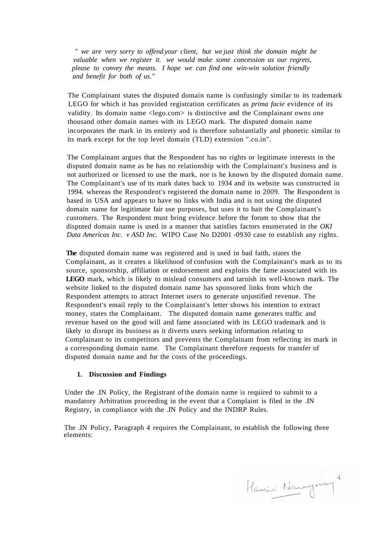*" we are very sorry to offend your client, but we just think the domain might be valuable when we register it. we would make some concession as our regrets, please to convey the means. I hope we can find one win-win solution friendly and benefit for both of us."* 

The Complainant states the disputed domain name is confusingly similar to its trademark LEGO for which it has provided registration certificates as *prima facie* evidence of its validity. Its domain name <lego.com> is distinctive and the Complainant owns one thousand other domain names with its LEGO mark. The disputed domain name incorporates the mark in its entirety and is therefore substantially and phonetic similar to its mark except for the top level domain (TLD) extension ".co.in".

The Complainant argues that the Respondent has no rights or legitimate interests in the disputed domain name as he has no relationship with the Complainant's business and is not authorized or licensed to use the mark, nor is he known by the disputed domain name. The Complainant's use of its mark dates back to 1934 and its website was constructed in 1994. whereas the Respondent's registered the domain name in 2009. The Respondent is based in USA and appears to have no links with India and is not using the disputed domain name for legitimate fair use purposes, but uses it to bait the Complainant's customers. The Respondent must bring evidence before the forum to show that the disputed domain name is used in a manner that satisfies factors enumerated in the *OKI Data Americas Inc. v ASD Inc.* WIPO Case No D2001 -0930 case to establish any rights.

**The** disputed domain name was registered and is used in bad faith, states the Complainant, as it creates a likelihood of confusion with the Complainant's mark as to its source, sponsorship, affiliation or endorsement and exploits the fame associated with its **LEGO** mark, which is likely to mislead consumers and tarnish its well-known mark. The website linked to the disputed domain name has sponsored links from which the Respondent attempts to attract Internet users to generate unjustified revenue. The Respondent's email reply to the Complainant's letter shows his intention to extract money, states the Complainant. The disputed domain name generates traffic and revenue based on the good will and fame associated with its LEGO trademark and is likely to disrupt its business as it diverts users seeking information relating to Complainant to its competitors and prevents the Complainant from reflecting its mark in a corresponding domain name. The Complainant therefore requests for transfer of disputed domain name and for the costs of the proceedings.

### **1. Discussion and Findings**

Under the .IN Policy, the Registrant of the domain name is required to submit to a mandatory Arbitration proceeding in the event that a Complaint is filed in the .IN Registry, in compliance with the .IN Policy and the INDRP Rules.

The .IN Policy, Paragraph 4 requires the Complainant, to establish the following three elements:

Harin Naragony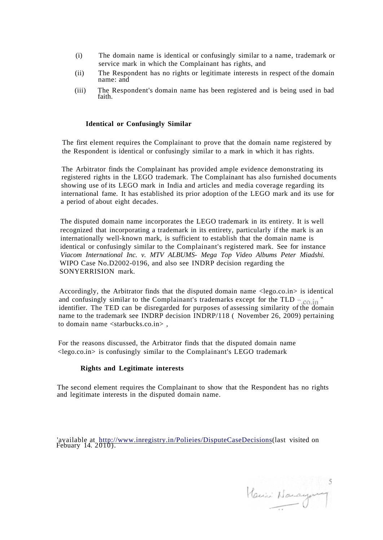- (i) The domain name is identical or confusingly similar to a name, trademark or service mark in which the Complainant has rights, and
- (ii) The Respondent has no rights or legitimate interests in respect of the domain name: and
- (iii) The Respondent's domain name has been registered and is being used in bad faith.

#### **Identical or Confusingly Similar**

The first element requires the Complainant to prove that the domain name registered by the Respondent is identical or confusingly similar to a mark in which it has rights.

The Arbitrator finds the Complainant has provided ample evidence demonstrating its registered rights in the LEGO trademark. The Complainant has also furnished documents showing use of its LEGO mark in India and articles and media coverage regarding its international fame. It has established its prior adoption of the LEGO mark and its use for a period of about eight decades.

The disputed domain name incorporates the LEGO trademark in its entirety. It is well recognized that incorporating a trademark in its entirety, particularly if the mark is an internationally well-known mark, is sufficient to establish that the domain name is identical or confusingly similar to the Complainant's registered mark. See for instance *Viacom International Inc. v. MTV ALBUMS- Mega Top Video Albums Peter Miadshi.*  WIPO Case No.D2002-0196, and also see INDRP decision regarding the SONYERRISION mark.

Accordingly, the Arbitrator finds that the disputed domain name  $\langle lego.co.in\rangle$  is identical and confusingly similar to the Complainant's trademarks except for the TLD  $_{\infty}$  co.in " identifier. The TED can be disregarded for purposes of assessing similarity of the domain name to the trademark see INDRP decision INDRP/118 ( November 26, 2009) pertaining to domain name <starbucks.co.in>,

For the reasons discussed, the Arbitrator finds that the disputed domain name <lego.co.in> is confusingly similar to the Complainant's LEGO trademark

#### **Rights and Legitimate interests**

The second element requires the Complainant to show that the Respondent has no rights and legitimate interests in the disputed domain name.

'available at [http://www.inregistry.in/Polieies/DisputeCaseDecisions\(](http://w%5ew.inre%5estrv.in/Polieies/t)iSPuteCaseDecisinn)last visited on Febuary 14. 2010).

Hanin Nanayang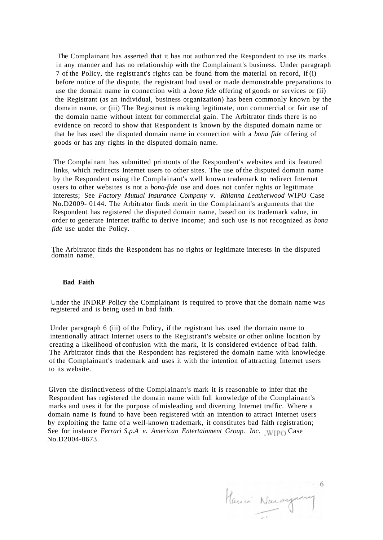The Complainant has asserted that it has not authorized the Respondent to use its marks in any manner and has no relationship with the Complainant's business. Under paragraph 7 of the Policy, the registrant's rights can be found from the material on record, if (i) before notice of the dispute, the registrant had used or made demonstrable preparations to use the domain name in connection with a *bona fide* offering of goods or services or (ii) the Registrant (as an individual, business organization) has been commonly known by the domain name, or (iii) The Registrant is making legitimate, non commercial or fair use of the domain name without intent for commercial gain. The Arbitrator finds there is no evidence on record to show that Respondent is known by the disputed domain name or that he has used the disputed domain name in connection with a *bona fide* offering of goods or has any rights in the disputed domain name.

The Complainant has submitted printouts of the Respondent's websites and its featured links, which redirects Internet users to other sites. The use of the disputed domain name by the Respondent using the Complainant's well known trademark to redirect Internet users to other websites is not a *bona-fide* use and does not confer rights or legitimate interests; See *Factory Mutual Insurance Company* v. *Rhianna Leatherwood* WIPO Case No.D2009- 0144. The Arbitrator finds merit in the Complainant's arguments that the Respondent has registered the disputed domain name, based on its trademark value, in order to generate Internet traffic to derive income; and such use is not recognized as *bona fide* use under the Policy.

The Arbitrator finds the Respondent has no rights or legitimate interests in the disputed domain name.

#### **Bad Faith**

Under the INDRP Policy the Complainant is required to prove that the domain name was registered and is being used in bad faith.

Under paragraph 6 (iii) of the Policy, if the registrant has used the domain name to intentionally attract Internet users to the Registrant's website or other online location by creating a likelihood of confusion with the mark, it is considered evidence of bad faith. The Arbitrator finds that the Respondent has registered the domain name with knowledge of the Complainant's trademark and uses it with the intention of attracting Internet users to its website.

Given the distinctiveness of the Complainant's mark it is reasonable to infer that the Respondent has registered the domain name with full knowledge of the Complainant's marks and uses it for the purpose of misleading and diverting Internet traffic. Where a domain name is found to have been registered with an intention to attract Internet users by exploiting the fame of a well-known trademark, it constitutes bad faith registration; See for instance *Ferrari S.p.A v. American Entertainment Group. Inc.* WIPO Case No.D2004-0673.

Harini Nacaynaug